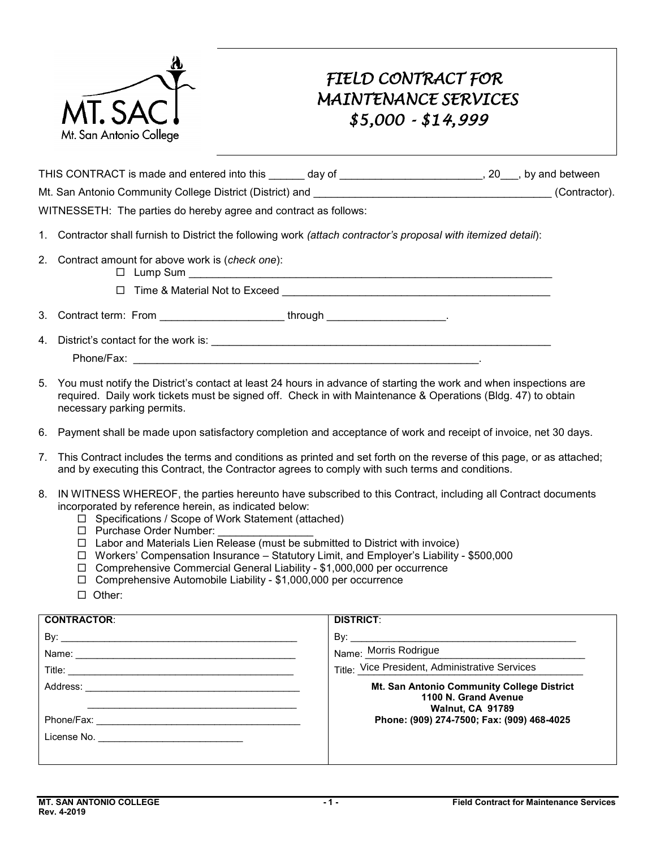

## *FIELD CONTRACT FOR MAINTENANCE SERVICES \$5,000 - \$14,999*

| THIS CONTRACT is made and entered into this               | dav of | , by and between |
|-----------------------------------------------------------|--------|------------------|
| Mt. San Antonio Community College District (District) and |        | (Contractor).    |
| . . <i>.</i>                                              |        |                  |

WITNESSETH: The parties do hereby agree and contract as follows:

- 1. Contractor shall furnish to District the following work *(attach contractor's proposal with itemized detail*):
- 2. Contract amount for above work is (*check one*):
	- $\Box$  Lump Sum
	- Time & Material Not to Exceed \_\_\_\_\_\_\_\_\_\_\_\_\_\_\_\_\_\_\_\_\_\_\_\_\_\_\_\_\_\_\_\_\_\_\_\_\_\_\_\_\_\_\_\_\_
- 3. Contract term: From \_\_\_\_\_\_\_\_\_\_\_\_\_\_\_\_\_\_\_\_\_\_through \_\_\_\_\_\_\_\_\_\_\_\_\_\_\_\_\_\_\_\_\_\_\_.

4. District's contact for the work is: \_\_\_\_\_\_\_\_\_\_\_\_\_\_\_\_\_\_\_\_\_\_\_\_\_\_\_\_\_\_\_\_\_\_\_\_\_\_\_\_\_\_\_\_\_\_\_\_\_\_\_\_\_\_\_\_\_

Phone/Fax: \_\_\_\_\_\_\_\_\_\_\_\_\_\_\_\_\_\_\_\_\_\_\_\_\_\_\_\_\_\_\_\_\_\_\_\_\_\_\_\_\_\_\_\_\_\_\_\_\_\_\_\_\_\_\_\_\_\_.

- 5. You must notify the District's contact at least 24 hours in advance of starting the work and when inspections are required. Daily work tickets must be signed off. Check in with Maintenance & Operations (Bldg. 47) to obtain necessary parking permits.
- 6. Payment shall be made upon satisfactory completion and acceptance of work and receipt of invoice, net 30 days.
- 7. This Contract includes the terms and conditions as printed and set forth on the reverse of this page, or as attached; and by executing this Contract, the Contractor agrees to comply with such terms and conditions.
- 8. IN WITNESS WHEREOF, the parties hereunto have subscribed to this Contract, including all Contract documents incorporated by reference herein, as indicated below:
	- □ Specifications / Scope of Work Statement (attached)
	- Purchase Order Number: \_\_\_\_\_\_\_\_\_\_\_\_\_\_\_\_
	- $\Box$  Labor and Materials Lien Release (must be submitted to District with invoice)
	- Workers' Compensation Insurance Statutory Limit, and Employer's Liability \$500,000
	- □ Comprehensive Commercial General Liability \$1,000,000 per occurrence
	- $\Box$  Comprehensive Automobile Liability \$1,000,000 per occurrence
	- □ Other:

| <b>CONTRACTOR:</b>                                                                                             | <b>DISTRICT:</b>                                                                                     |
|----------------------------------------------------------------------------------------------------------------|------------------------------------------------------------------------------------------------------|
|                                                                                                                |                                                                                                      |
|                                                                                                                | Name: Morris Rodrigue                                                                                |
|                                                                                                                | Title: Vice President, Administrative Services                                                       |
|                                                                                                                | <b>Mt. San Antonio Community College District</b><br>1100 N. Grand Avenue<br><b>Walnut, CA 91789</b> |
|                                                                                                                | Phone: (909) 274-7500; Fax: (909) 468-4025                                                           |
| License No. 2008. 2009. 2009. 2010. 2010. 2010. 2012. 2012. 2013. 2014. 2015. 2016. 2017. 2018. 2019. 2019. 20 |                                                                                                      |
|                                                                                                                |                                                                                                      |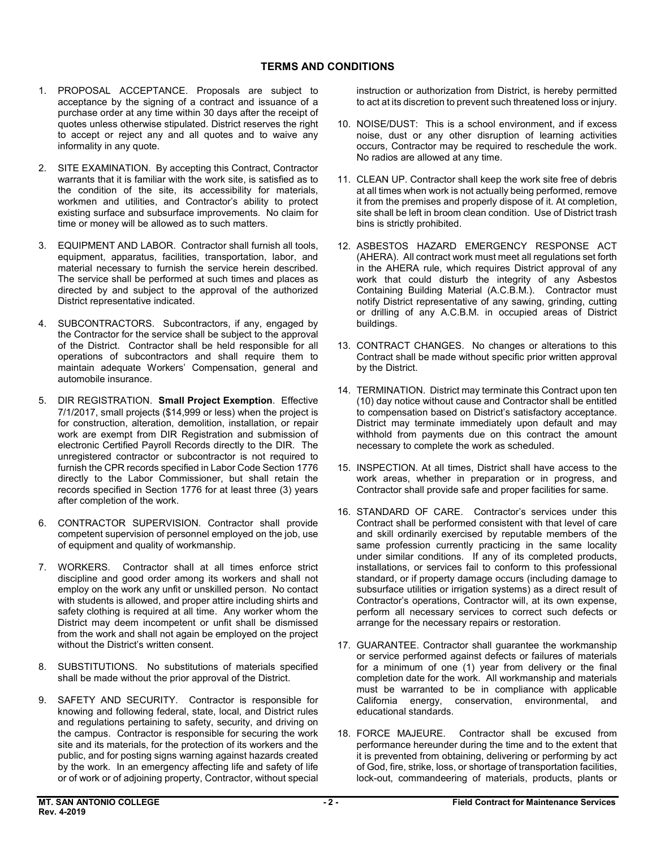- acceptance by the signing of a contract and issuance of a purchase order at any time within 30 days after the receipt of quotes unless otherwise stipulated. District reserves the right to accept or reject any and all quotes and to waive any 1. PROPOSAL ACCEPTANCE. Proposals are subject to informality in any quote.
- warrants that it is familiar with the work site, is satisfied as to existing surface and subsurface improvements. No claim for 2. SITE EXAMINATION. By accepting this Contract, Contractor the condition of the site, its accessibility for materials, workmen and utilities, and Contractor's ability to protect time or money will be allowed as to such matters.
- 3. EQUIPMENT AND LABOR. Contractor shall furnish all tools, material necessary to furnish the service herein described. equipment, apparatus, facilities, transportation, labor, and The service shall be performed at such times and places as directed by and subject to the approval of the authorized District representative indicated.
- 4. SUBCONTRACTORS. Subcontractors, if any, engaged by the Contractor for the service shall be subject to the approval of the District. Contractor shall be held responsible for all operations of subcontractors and shall require them to maintain adequate Workers' Compensation, general and automobile insurance.
- 5. DIR REGISTRATION. **Small Project Exemption**. Effective for construction, alteration, demolition, installation, or repair work are exempt from DIR Registration and submission of unregistered contractor or subcontractor is not required to furnish the CPR records specified in Labor Code Section 1776 records specified in Section 1776 for at least three (3) years after completion of the work. 7/1/2017, small projects (\$14,999 or less) when the project is electronic Certified Payroll Records directly to the DIR. The directly to the Labor Commissioner, but shall retain the
- competent supervision of personnel employed on the job, use 6. CONTRACTOR SUPERVISION. Contractor shall provide of equipment and quality of workmanship.
- 7. WORKERS. Contractor shall at all times enforce strict discipline and good order among its workers and shall not employ on the work any unfit or unskilled person. No contact with students is allowed, and proper attire including shirts and safety clothing is required at all time. Any worker whom the District may deem incompetent or unfit shall be dismissed from the work and shall not again be employed on the project without the District's written consent.
- 8. SUBSTITUTIONS. No substitutions of materials specified shall be made without the prior approval of the District.
- 9. SAFETY AND SECURITY. Contractor is responsible for or of work or of adjoining property, Contractor, without special knowing and following federal, state, local, and District rules and regulations pertaining to safety, security, and driving on the campus. Contractor is responsible for securing the work site and its materials, for the protection of its workers and the public, and for posting signs warning against hazards created by the work. In an emergency affecting life and safety of life

 to act at its discretion to prevent such threatened loss or injury. instruction or authorization from District, is hereby permitted

- 10. NOISE/DUST: This is a school environment, and if excess noise, dust or any other disruption of learning activities occurs, Contractor may be required to reschedule the work. No radios are allowed at any time.
- 11. CLEAN UP. Contractor shall keep the work site free of debris at all times when work is not actually being performed, remove site shall be left in broom clean condition. Use of District trash it from the premises and properly dispose of it. At completion, bins is strictly prohibited.
- (AHERA). All contract work must meet all regulations set forth in the AHERA rule, which requires District approval of any Containing Building Material (A.C.B.M.). Contractor must notify District representative of any sawing, grinding, cutting or drilling of any A.C.B.M. in occupied areas of District 12. ASBESTOS HAZARD EMERGENCY RESPONSE ACT work that could disturb the integrity of any Asbestos buildings.
- 13. CONTRACT CHANGES. No changes or alterations to this Contract shall be made without specific prior written approval by the District.
- to compensation based on District's satisfactory acceptance. to compensation based on District's satisfactory acceptance.<br>District may terminate immediately upon default and may 14. TERMINATION. District may terminate this Contract upon ten (10) day notice without cause and Contractor shall be entitled withhold from payments due on this contract the amount necessary to complete the work as scheduled.
- 15. INSPECTION. At all times, District shall have access to the work areas, whether in preparation or in progress, and Contractor shall provide safe and proper facilities for same.
- 16. STANDARD OF CARE. Contractor's services under this and skill ordinarily exercised by reputable members of the under similar conditions. If any of its completed products, installations, or services fail to conform to this professional subsurface utilities or irrigation systems) as a direct result of Contractor's operations, Contractor will, at its own expense, perform all necessary services to correct such defects or Contract shall be performed consistent with that level of care same profession currently practicing in the same locality standard, or if property damage occurs (including damage to arrange for the necessary repairs or restoration.
- or service performed against defects or failures of materials California energy, conservation, environmental, and educational standards. 17. GUARANTEE. Contractor shall guarantee the workmanship for a minimum of one (1) year from delivery or the final completion date for the work. All workmanship and materials must be warranted to be in compliance with applicable
- educational standards. 18. FORCE MAJEURE. Contractor shall be excused from it is prevented from obtaining, delivering or performing by act performance hereunder during the time and to the extent that of God, fire, strike, loss, or shortage of transportation facilities, lock-out, commandeering of materials, products, plants or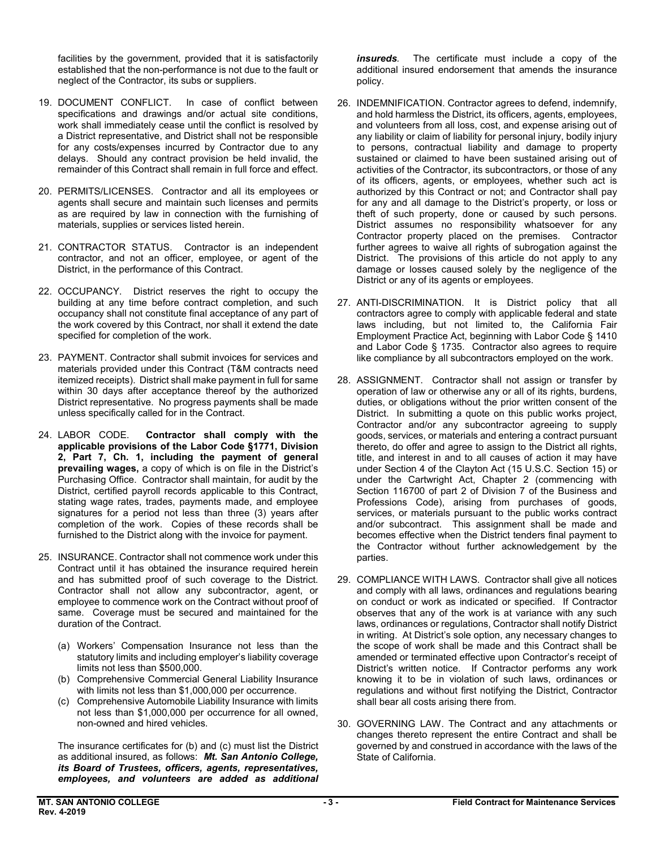established that the non-performance is not due to the fault or neglect of the Contractor, its subs or suppliers. facilities by the government, provided that it is satisfactorily

- specifications and drawings and/or actual site conditions, work shall immediately cease until the conflict is resolved by a District representative, and District shall not be responsible for any costs/expenses incurred by Contractor due to any delays. Should any contract provision be held invalid, the remainder of this Contract shall remain in full force and effect. 19. DOCUMENT CONFLICT. In case of conflict between
- materials, supplies or services listed herein. 20. PERMITS/LICENSES. Contractor and all its employees or agents shall secure and maintain such licenses and permits as are required by law in connection with the furnishing of
- contractor, and not an officer, employee, or agent of the 21. CONTRACTOR STATUS. Contractor is an independent District, in the performance of this Contract.
- building at any time before contract completion, and such 22. OCCUPANCY. District reserves the right to occupy the occupancy shall not constitute final acceptance of any part of the work covered by this Contract, nor shall it extend the date specified for completion of the work.
- itemized receipts). District shall make payment in full for same District representative. No progress payments shall be made 23. PAYMENT. Contractor shall submit invoices for services and materials provided under this Contract (T&M contracts need within 30 days after acceptance thereof by the authorized unless specifically called for in the Contract.
- 24. LABOR CODE. Purchasing Office. Contractor shall maintain, for audit by the completion of the work. Copies of these records shall be Contractor shall comply with the **applicable provisions of the Labor Code §1771, Division 2, Part 7, Ch. 1, including the payment of general prevailing wages,** a copy of which is on file in the District's District, certified payroll records applicable to this Contract, stating wage rates, trades, payments made, and employee signatures for a period not less than three (3) years after furnished to the District along with the invoice for payment.
- Contract until it has obtained the insurance required herein and has submitted proof of such coverage to the District. employee to commence work on the Contract without proof of same. Coverage must be secured and maintained for the duration of the Contract. 25. INSURANCE. Contractor shall not commence work under this Contractor shall not allow any subcontractor, agent, or
	- (a) Workers' Compensation Insurance not less than the statutory limits and including employer's liability coverage limits not less than \$500,000.
	- (b) Comprehensive Commercial General Liability Insurance with limits not less than \$1,000,000 per occurrence.
	- not less than \$1,000,000 per occurrence for all owned, (c) Comprehensive Automobile Liability Insurance with limits non-owned and hired vehicles.

 as additional insured, as follows: *Mt. San Antonio College, its Board of Trustees, officers, agents, representatives,*  The insurance certificates for (b) and (c) must list the District *employees, and volunteers are added as additional* 

insureds The certificate must include a copy of the additional insured endorsement that amends the insurance policy.

- and hold harmless the District, its officers, agents, employees, and volunteers from all loss, cost, and expense arising out of to persons, contractual liability and damage to property sustained or claimed to have been sustained arising out of activities of the Contractor, its subcontractors, or those of any authorized by this Contract or not; and Contractor shall pay theft of such property, done or caused by such persons. further agrees to waive all rights of subrogation against the District. The provisions of this article do not apply to any damage or losses caused solely by the negligence of the District or any of its agents or employees. 26. INDEMNIFICATION. Contractor agrees to defend, indemnify, any liability or claim of liability for personal injury, bodily injury of its officers, agents, or employees, whether such act is for any and all damage to the District's property, or loss or District assumes no responsibility whatsoever for any Contractor property placed on the premises. Contractor
- 27. ANTI-DISCRIMINATION. It is District policy that all contractors agree to comply with applicable federal and state laws including, but not limited to, the California Fair Employment Practice Act, beginning with Labor Code § 1410 and Labor Code § 1735. Contractor also agrees to require like compliance by all subcontractors employed on the work.
- 28. ASSIGNMENT. Contractor shall not assign or transfer by operation of law or otherwise any or all of its rights, burdens, District. In submitting a quote on this public works project, title, and interest in and to all causes of action it may have under Section 4 of the Clayton Act (15 U.S.C. Section 15) or under the Cartwright Act, Chapter 2 (commencing with Section 116700 of part 2 of Division 7 of the Business and Professions Code), arising from purchases of goods, services, or materials pursuant to the public works contract the Contractor without further acknowledgement by the duties, or obligations without the prior written consent of the Contractor and/or any subcontractor agreeing to supply goods, services, or materials and entering a contract pursuant thereto, do offer and agree to assign to the District all rights, and/or subcontract. This assignment shall be made and becomes effective when the District tenders final payment to parties.
- 29. COMPLIANCE WITH LAWS. Contractor shall give all notices and comply with all laws, ordinances and regulations bearing on conduct or work as indicated or specified. If Contractor observes that any of the work is at variance with any such the scope of work shall be made and this Contract shall be amended or terminated effective upon Contractor's receipt of District's written notice. If Contractor performs any work knowing it to be in violation of such laws, ordinances or laws, ordinances or regulations, Contractor shall notify District in writing. At District's sole option, any necessary changes to regulations and without first notifying the District, Contractor shall bear all costs arising there from.
- 30. GOVERNING LAW. The Contract and any attachments or changes thereto represent the entire Contract and shall be governed by and construed in accordance with the laws of the State of California.